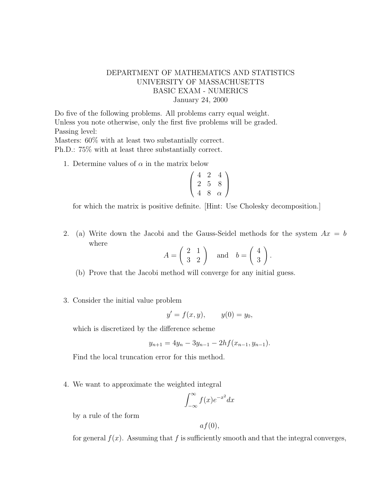## DEPARTMENT OF MATHEMATICS AND STATISTICS UNIVERSITY OF MASSACHUSETTS BASIC EXAM - NUMERICS January 24, 2000

Do five of the following problems. All problems carry equal weight. Unless you note otherwise, only the first five problems will be graded. Passing level:

Masters: 60% with at least two substantially correct. Ph.D.: 75% with at least three substantially correct.

1. Determine values of  $\alpha$  in the matrix below

$$
\left(\begin{array}{ccc}\n4 & 2 & 4 \\
2 & 5 & 8 \\
4 & 8 & \alpha\n\end{array}\right)
$$

for which the matrix is positive definite. [Hint: Use Cholesky decomposition.]

2. (a) Write down the Jacobi and the Gauss-Seidel methods for the system  $Ax = b$ where

$$
A = \begin{pmatrix} 2 & 1 \\ 3 & 2 \end{pmatrix} \quad \text{and} \quad b = \begin{pmatrix} 4 \\ 3 \end{pmatrix}.
$$

(b) Prove that the Jacobi method will converge for any initial guess.

3. Consider the initial value problem

$$
y' = f(x, y),
$$
  $y(0) = y_0,$ 

which is discretized by the difference scheme

$$
y_{n+1} = 4y_n - 3y_{n-1} - 2hf(x_{n-1}, y_{n-1}).
$$

Find the local truncation error for this method.

4. We want to approximate the weighted integral

$$
\int_{-\infty}^{\infty} f(x)e^{-x^2} dx
$$

by a rule of the form

$$
af(0),
$$

for general  $f(x)$ . Assuming that f is sufficiently smooth and that the integral converges,